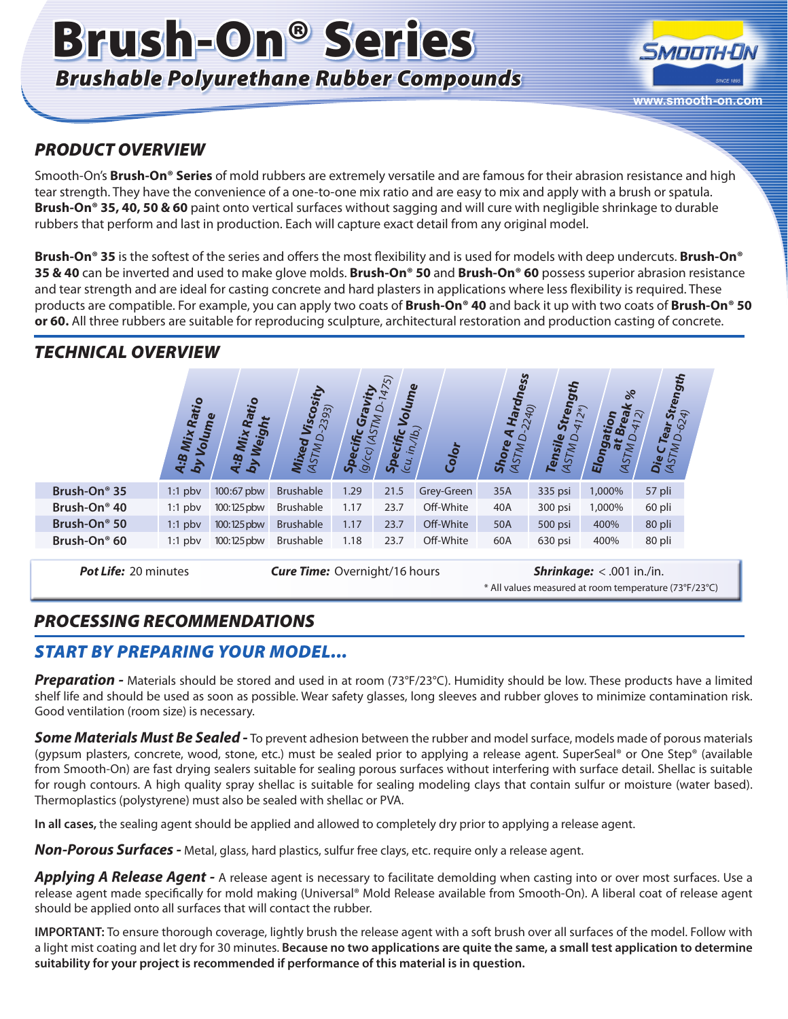# Brush-On® Series *Brushable Polyurethane Rubber Compounds*



#### *PRODUCT OVERVIEW*

Smooth-On's **Brush-On® Series** of mold rubbers are extremely versatile and are famous for their abrasion resistance and high tear strength. They have the convenience of a one-to-one mix ratio and are easy to mix and apply with a brush or spatula. **Brush-On® 35, 40, 50 & 60** paint onto vertical surfaces without sagging and will cure with negligible shrinkage to durable rubbers that perform and last in production. Each will capture exact detail from any original model.

**Brush-On® 35** is the softest of the series and offers the most flexibility and is used for models with deep undercuts. **Brush-On® 35 & 40** can be inverted and used to make glove molds. **Brush-On® 50** and **Brush-On® 60** possess superior abrasion resistance and tear strength and are ideal for casting concrete and hard plasters in applications where less flexibility is required. These products are compatible. For example, you can apply two coats of **Brush-On® 40** and back it up with two coats of **Brush-On® 50 or 60.** All three rubbers are suitable for reproducing sculpture, architectural restoration and production casting of concrete.

### *TECHNICAL OVERVIEW*

|                          | <b>Set</b><br>Rai<br>Volume<br>Mix<br>9<br>by<br>T | ht<br>Œ<br>Weig<br><b>Mix</b><br>$\ddot{\mathbf{e}}$<br>$\vec{p}$<br>$\mathbf{r}$ | sity<br>D-2393)<br>Visco<br>Mixed<br>(ASTM <sub>C</sub> | vity<br>Gra<br>STM<br>U<br>$\mathbf{z}$<br>ίĥ<br>S <sub>Dec</sub><br>9/c | $\overline{5}$<br>Volume<br>Q<br>$\frac{\textit{Specific}_{(c_{\mathcal{U}}, \eta, \eta_{\mathcal{U}})} }{\textit{c}_{\mathcal{U}, \eta, \eta_{\mathcal{U}}}}$ | Color      | <b>Hardness</b><br>240)<br>₹<br>$\circ$<br>Ø,<br><b>ASTM</b><br>$Sh_{O}$ | <b>ViaGu</b><br>Stren<br>$2*)$<br>$\overline{41}$<br>Tensile<br>$\circ$<br><b>INLSV</b> | $\frac{8}{6}$<br>ĿΗ<br>۰a<br>Elong<br>$\bullet$<br>Z,<br>AS | Strength<br>$\overline{z}$<br>$\overline{\sim}$<br>O<br>Tea<br>$\Delta$<br>Die CT |
|--------------------------|----------------------------------------------------|-----------------------------------------------------------------------------------|---------------------------------------------------------|--------------------------------------------------------------------------|----------------------------------------------------------------------------------------------------------------------------------------------------------------|------------|--------------------------------------------------------------------------|-----------------------------------------------------------------------------------------|-------------------------------------------------------------|-----------------------------------------------------------------------------------|
| Brush-On <sup>®</sup> 35 | $1:1$ pbv                                          | 100:67 pbw                                                                        | <b>Brushable</b>                                        | 1.29                                                                     | 21.5                                                                                                                                                           | Grey-Green | 35A                                                                      | 335 psi                                                                                 | 1,000%                                                      | 57 pli                                                                            |
| Brush-On <sup>®</sup> 40 | $1:1$ pbv                                          | 100:125 pbw                                                                       | <b>Brushable</b>                                        | 1.17                                                                     | 23.7                                                                                                                                                           | Off-White  | 40A                                                                      | 300 psi                                                                                 | 1,000%                                                      | 60 pli                                                                            |
| Brush-On <sup>®</sup> 50 | $1:1$ pbv                                          | 100:125 pbw                                                                       | <b>Brushable</b>                                        | 1.17                                                                     | 23.7                                                                                                                                                           | Off-White  | 50A                                                                      | 500 psi                                                                                 | 400%                                                        | 80 pli                                                                            |
| Brush-On <sup>®</sup> 60 | $1:1$ pbv                                          | 100:125 pbw                                                                       | <b>Brushable</b>                                        | 1.18                                                                     | 23.7                                                                                                                                                           | Off-White  | 60A                                                                      | 630 psi                                                                                 | 400%                                                        | 80 pli                                                                            |

**Pot Life:** 20 minutes *Cure Time:* Overnight/16 hours *Shrinkage:* < .001 in./in.

\* All values measured at room temperature (73°F/23°C)

### *PROCESSING RECOMMENDATIONS*

#### *START BY PREPARING YOUR MODEL...*

**Preparation -** Materials should be stored and used in at room (73°F/23°C). Humidity should be low. These products have a limited shelf life and should be used as soon as possible. Wear safety glasses, long sleeves and rubber gloves to minimize contamination risk. Good ventilation (room size) is necessary.

*Some Materials Must Be Sealed -* To prevent adhesion between the rubber and model surface, models made of porous materials (gypsum plasters, concrete, wood, stone, etc.) must be sealed prior to applying a release agent. SuperSeal® or One Step® (available from Smooth-On) are fast drying sealers suitable for sealing porous surfaces without interfering with surface detail. Shellac is suitable for rough contours. A high quality spray shellac is suitable for sealing modeling clays that contain sulfur or moisture (water based). Thermoplastics (polystyrene) must also be sealed with shellac or PVA.

**In all cases,** the sealing agent should be applied and allowed to completely dry prior to applying a release agent.

*Non-Porous Surfaces -* Metal, glass, hard plastics, sulfur free clays, etc. require only a release agent.

*Applying A Release Agent -* A release agent is necessary to facilitate demolding when casting into or over most surfaces. Use a release agent made specifically for mold making (Universal® Mold Release available from Smooth-On). A liberal coat of release agent should be applied onto all surfaces that will contact the rubber.

**IMPORTANT:** To ensure thorough coverage, lightly brush the release agent with a soft brush over all surfaces of the model. Follow with a light mist coating and let dry for 30 minutes. **Because no two applications are quite the same, a small test application to determine suitability for your project is recommended if performance of this material is in question.**